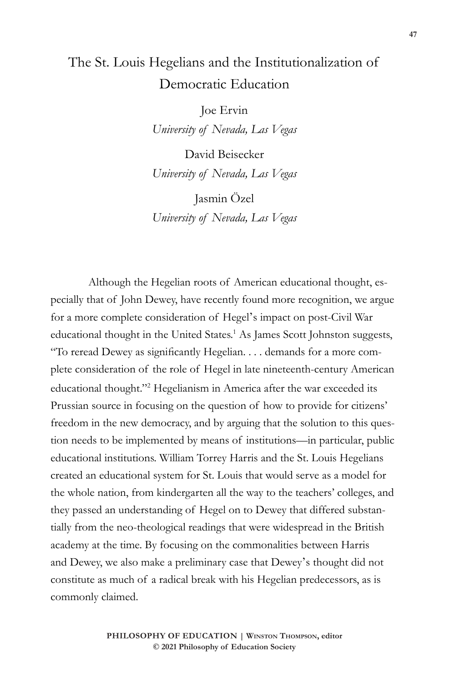## The St. Louis Hegelians and the Institutionalization of Democratic Education

Joe Ervin *University of Nevada, Las Vegas*

David Beisecker *University of Nevada, Las Vegas*

Jasmin Özel *University of Nevada, Las Vegas*

Although the Hegelian roots of American educational thought, especially that of John Dewey, have recently found more recognition, we argue for a more complete consideration of Hegel's impact on post-Civil War educational thought in the United States.<sup>1</sup> As James Scott Johnston suggests, "To reread Dewey as significantly Hegelian. . . . demands for a more complete consideration of the role of Hegel in late nineteenth-century American educational thought."2 Hegelianism in America after the war exceeded its Prussian source in focusing on the question of how to provide for citizens' freedom in the new democracy, and by arguing that the solution to this question needs to be implemented by means of institutions—in particular, public educational institutions. William Torrey Harris and the St. Louis Hegelians created an educational system for St. Louis that would serve as a model for the whole nation, from kindergarten all the way to the teachers' colleges, and they passed an understanding of Hegel on to Dewey that differed substantially from the neo-theological readings that were widespread in the British academy at the time. By focusing on the commonalities between Harris and Dewey, we also make a preliminary case that Dewey's thought did not constitute as much of a radical break with his Hegelian predecessors, as is commonly claimed.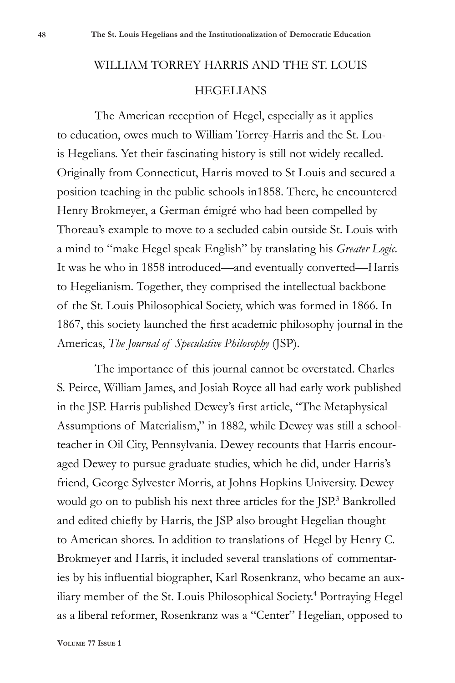# WILLIAM TORREY HARRIS AND THE ST. LOUIS HEGELIANS

The American reception of Hegel, especially as it applies to education, owes much to William Torrey-Harris and the St. Louis Hegelians. Yet their fascinating history is still not widely recalled. Originally from Connecticut, Harris moved to St Louis and secured a position teaching in the public schools in1858. There, he encountered Henry Brokmeyer, a German émigré who had been compelled by Thoreau's example to move to a secluded cabin outside St. Louis with a mind to "make Hegel speak English" by translating his *Greater Logic*. It was he who in 1858 introduced—and eventually converted—Harris to Hegelianism. Together, they comprised the intellectual backbone of the St. Louis Philosophical Society, which was formed in 1866. In 1867, this society launched the first academic philosophy journal in the Americas, *The Journal of Speculative Philosophy* (JSP).

The importance of this journal cannot be overstated. Charles S. Peirce, William James, and Josiah Royce all had early work published in the JSP. Harris published Dewey's first article, "The Metaphysical Assumptions of Materialism," in 1882, while Dewey was still a schoolteacher in Oil City, Pennsylvania. Dewey recounts that Harris encouraged Dewey to pursue graduate studies, which he did, under Harris's friend, George Sylvester Morris, at Johns Hopkins University. Dewey would go on to publish his next three articles for the JSP.<sup>3</sup> Bankrolled and edited chiefly by Harris, the JSP also brought Hegelian thought to American shores. In addition to translations of Hegel by Henry C. Brokmeyer and Harris, it included several translations of commentaries by his influential biographer, Karl Rosenkranz, who became an auxiliary member of the St. Louis Philosophical Society.4 Portraying Hegel as a liberal reformer, Rosenkranz was a "Center" Hegelian, opposed to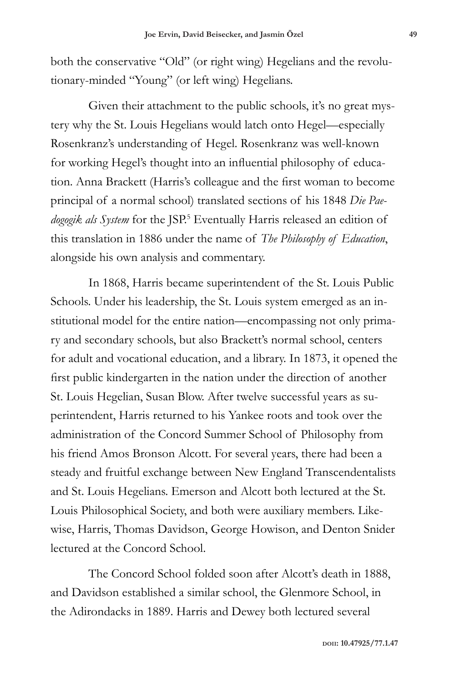both the conservative "Old" (or right wing) Hegelians and the revolutionary-minded "Young" (or left wing) Hegelians.

Given their attachment to the public schools, it's no great mystery why the St. Louis Hegelians would latch onto Hegel—especially Rosenkranz's understanding of Hegel. Rosenkranz was well-known for working Hegel's thought into an influential philosophy of education. Anna Brackett (Harris's colleague and the first woman to become principal of a normal school) translated sections of his 1848 *Die Pae*dogogik als System for the JSP.<sup>5</sup> Eventually Harris released an edition of this translation in 1886 under the name of *The Philosophy of Education*, alongside his own analysis and commentary.

In 1868, Harris became superintendent of the St. Louis Public Schools. Under his leadership, the St. Louis system emerged as an institutional model for the entire nation—encompassing not only primary and secondary schools, but also Brackett's normal school, centers for adult and vocational education, and a library. In 1873, it opened the first public kindergarten in the nation under the direction of another St. Louis Hegelian, Susan Blow. After twelve successful years as superintendent, Harris returned to his Yankee roots and took over the administration of the Concord Summer School of Philosophy from his friend Amos Bronson Alcott. For several years, there had been a steady and fruitful exchange between New England Transcendentalists and St. Louis Hegelians. Emerson and Alcott both lectured at the St. Louis Philosophical Society, and both were auxiliary members. Likewise, Harris, Thomas Davidson, George Howison, and Denton Snider lectured at the Concord School.

The Concord School folded soon after Alcott's death in 1888, and Davidson established a similar school, the Glenmore School, in the Adirondacks in 1889. Harris and Dewey both lectured several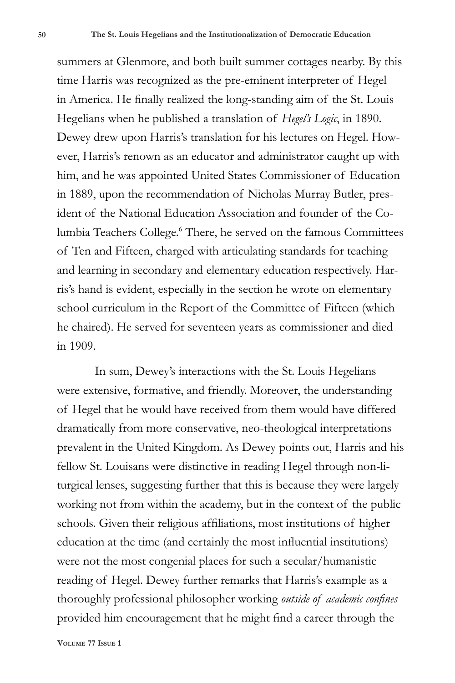summers at Glenmore, and both built summer cottages nearby. By this time Harris was recognized as the pre-eminent interpreter of Hegel in America. He finally realized the long-standing aim of the St. Louis Hegelians when he published a translation of *Hegel's Logic*, in 1890. Dewey drew upon Harris's translation for his lectures on Hegel. However, Harris's renown as an educator and administrator caught up with him, and he was appointed United States Commissioner of Education in 1889, upon the recommendation of Nicholas Murray Butler, president of the National Education Association and founder of the Columbia Teachers College.<sup>6</sup> There, he served on the famous Committees of Ten and Fifteen, charged with articulating standards for teaching and learning in secondary and elementary education respectively. Harris's hand is evident, especially in the section he wrote on elementary school curriculum in the Report of the Committee of Fifteen (which he chaired). He served for seventeen years as commissioner and died in 1909.

In sum, Dewey's interactions with the St. Louis Hegelians were extensive, formative, and friendly. Moreover, the understanding of Hegel that he would have received from them would have differed dramatically from more conservative, neo-theological interpretations prevalent in the United Kingdom. As Dewey points out, Harris and his fellow St. Louisans were distinctive in reading Hegel through non-liturgical lenses, suggesting further that this is because they were largely working not from within the academy, but in the context of the public schools. Given their religious affiliations, most institutions of higher education at the time (and certainly the most influential institutions) were not the most congenial places for such a secular/humanistic reading of Hegel. Dewey further remarks that Harris's example as a thoroughly professional philosopher working *outside of academic confines* provided him encouragement that he might find a career through the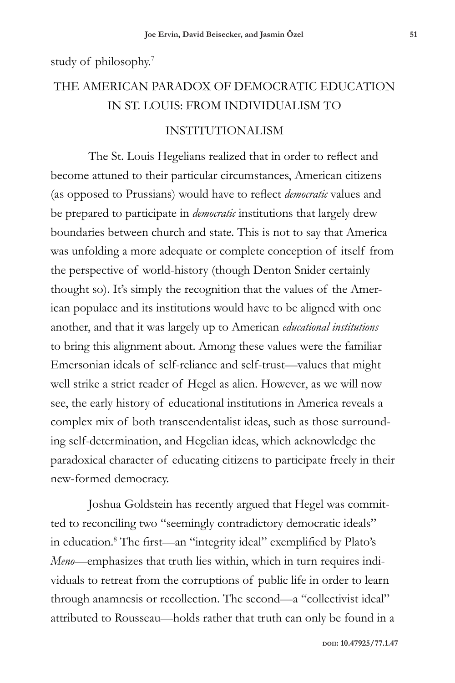study of philosophy.7

## THE AMERICAN PARADOX OF DEMOCRATIC EDUCATION IN ST. LOUIS: FROM INDIVIDUALISM TO

## INSTITUTIONALISM

The St. Louis Hegelians realized that in order to reflect and become attuned to their particular circumstances, American citizens (as opposed to Prussians) would have to reflect *democratic* values and be prepared to participate in *democratic* institutions that largely drew boundaries between church and state. This is not to say that America was unfolding a more adequate or complete conception of itself from the perspective of world-history (though Denton Snider certainly thought so). It's simply the recognition that the values of the American populace and its institutions would have to be aligned with one another, and that it was largely up to American *educational institutions* to bring this alignment about. Among these values were the familiar Emersonian ideals of self-reliance and self-trust—values that might well strike a strict reader of Hegel as alien. However, as we will now see, the early history of educational institutions in America reveals a complex mix of both transcendentalist ideas, such as those surrounding self-determination, and Hegelian ideas, which acknowledge the paradoxical character of educating citizens to participate freely in their new-formed democracy.

Joshua Goldstein has recently argued that Hegel was committed to reconciling two "seemingly contradictory democratic ideals" in education.8 The first—an "integrity ideal" exemplified by Plato's *Meno*—emphasizes that truth lies within, which in turn requires individuals to retreat from the corruptions of public life in order to learn through anamnesis or recollection. The second—a "collectivist ideal" attributed to Rousseau—holds rather that truth can only be found in a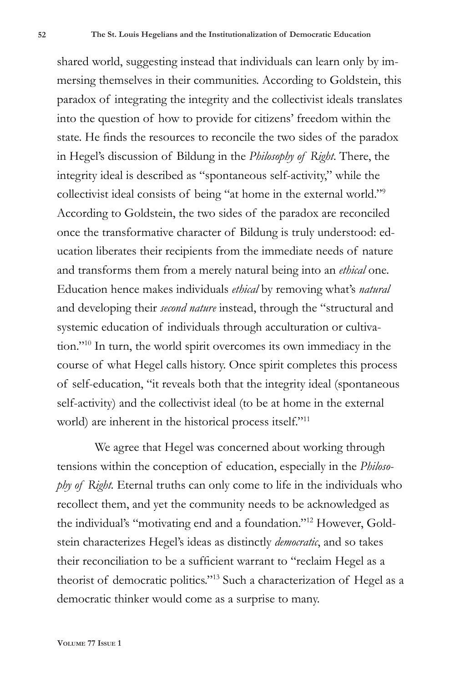shared world, suggesting instead that individuals can learn only by immersing themselves in their communities. According to Goldstein, this paradox of integrating the integrity and the collectivist ideals translates into the question of how to provide for citizens' freedom within the state. He finds the resources to reconcile the two sides of the paradox in Hegel's discussion of Bildung in the *Philosophy of Right*. There, the integrity ideal is described as "spontaneous self-activity," while the collectivist ideal consists of being "at home in the external world."9 According to Goldstein, the two sides of the paradox are reconciled once the transformative character of Bildung is truly understood: education liberates their recipients from the immediate needs of nature and transforms them from a merely natural being into an *ethical* one. Education hence makes individuals *ethical* by removing what's *natural*  and developing their *second nature* instead, through the "structural and systemic education of individuals through acculturation or cultivation."10 In turn, the world spirit overcomes its own immediacy in the course of what Hegel calls history. Once spirit completes this process of self-education, "it reveals both that the integrity ideal (spontaneous self-activity) and the collectivist ideal (to be at home in the external world) are inherent in the historical process itself."11

We agree that Hegel was concerned about working through tensions within the conception of education, especially in the *Philosophy of Right.* Eternal truths can only come to life in the individuals who recollect them, and yet the community needs to be acknowledged as the individual's "motivating end and a foundation."12 However, Goldstein characterizes Hegel's ideas as distinctly *democratic*, and so takes their reconciliation to be a sufficient warrant to "reclaim Hegel as a theorist of democratic politics."13 Such a characterization of Hegel as a democratic thinker would come as a surprise to many.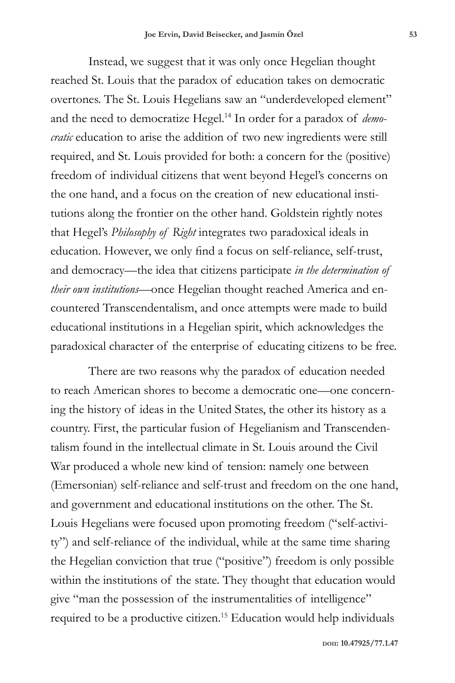Instead, we suggest that it was only once Hegelian thought reached St. Louis that the paradox of education takes on democratic overtones. The St. Louis Hegelians saw an "underdeveloped element" and the need to democratize Hegel.14 In order for a paradox of *democratic* education to arise the addition of two new ingredients were still required, and St. Louis provided for both: a concern for the (positive) freedom of individual citizens that went beyond Hegel's concerns on the one hand, and a focus on the creation of new educational institutions along the frontier on the other hand. Goldstein rightly notes that Hegel's *Philosophy of Right* integrates two paradoxical ideals in education. However, we only find a focus on self-reliance, self-trust, and democracy—the idea that citizens participate *in the determination of their own institutions*—once Hegelian thought reached America and encountered Transcendentalism, and once attempts were made to build educational institutions in a Hegelian spirit, which acknowledges the paradoxical character of the enterprise of educating citizens to be free.

There are two reasons why the paradox of education needed to reach American shores to become a democratic one—one concerning the history of ideas in the United States, the other its history as a country. First, the particular fusion of Hegelianism and Transcendentalism found in the intellectual climate in St. Louis around the Civil War produced a whole new kind of tension: namely one between (Emersonian) self-reliance and self-trust and freedom on the one hand, and government and educational institutions on the other. The St. Louis Hegelians were focused upon promoting freedom ("self-activity") and self-reliance of the individual, while at the same time sharing the Hegelian conviction that true ("positive") freedom is only possible within the institutions of the state. They thought that education would give "man the possession of the instrumentalities of intelligence" required to be a productive citizen.15 Education would help individuals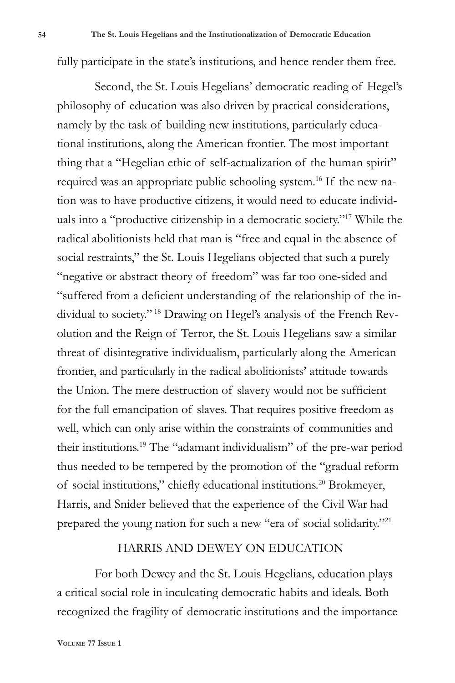fully participate in the state's institutions, and hence render them free.

Second, the St. Louis Hegelians' democratic reading of Hegel's philosophy of education was also driven by practical considerations, namely by the task of building new institutions, particularly educational institutions, along the American frontier. The most important thing that a "Hegelian ethic of self-actualization of the human spirit" required was an appropriate public schooling system.16 If the new nation was to have productive citizens, it would need to educate individuals into a "productive citizenship in a democratic society."17 While the radical abolitionists held that man is "free and equal in the absence of social restraints," the St. Louis Hegelians objected that such a purely "negative or abstract theory of freedom" was far too one-sided and "suffered from a deficient understanding of the relationship of the individual to society." 18 Drawing on Hegel's analysis of the French Revolution and the Reign of Terror, the St. Louis Hegelians saw a similar threat of disintegrative individualism, particularly along the American frontier, and particularly in the radical abolitionists' attitude towards the Union. The mere destruction of slavery would not be sufficient for the full emancipation of slaves. That requires positive freedom as well, which can only arise within the constraints of communities and their institutions.19 The "adamant individualism" of the pre-war period thus needed to be tempered by the promotion of the "gradual reform of social institutions," chiefly educational institutions.20 Brokmeyer, Harris, and Snider believed that the experience of the Civil War had prepared the young nation for such a new "era of social solidarity."21

## HARRIS AND DEWEY ON EDUCATION

For both Dewey and the St. Louis Hegelians, education plays a critical social role in inculcating democratic habits and ideals. Both recognized the fragility of democratic institutions and the importance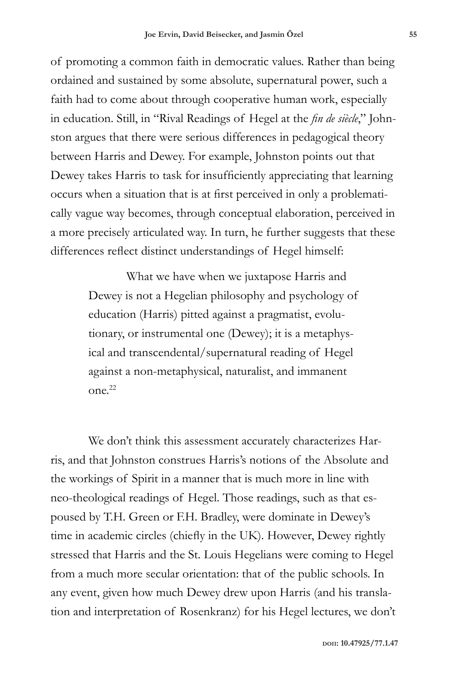of promoting a common faith in democratic values. Rather than being ordained and sustained by some absolute, supernatural power, such a faith had to come about through cooperative human work, especially in education. Still, in "Rival Readings of Hegel at the *fin de siècle*," Johnston argues that there were serious differences in pedagogical theory between Harris and Dewey. For example, Johnston points out that Dewey takes Harris to task for insufficiently appreciating that learning occurs when a situation that is at first perceived in only a problematically vague way becomes, through conceptual elaboration, perceived in a more precisely articulated way. In turn, he further suggests that these differences reflect distinct understandings of Hegel himself:

> What we have when we juxtapose Harris and Dewey is not a Hegelian philosophy and psychology of education (Harris) pitted against a pragmatist, evolutionary, or instrumental one (Dewey); it is a metaphysical and transcendental/supernatural reading of Hegel against a non-metaphysical, naturalist, and immanent  $On^{22}$

We don't think this assessment accurately characterizes Harris, and that Johnston construes Harris's notions of the Absolute and the workings of Spirit in a manner that is much more in line with neo-theological readings of Hegel. Those readings, such as that espoused by T.H. Green or F.H. Bradley, were dominate in Dewey's time in academic circles (chiefly in the UK). However, Dewey rightly stressed that Harris and the St. Louis Hegelians were coming to Hegel from a much more secular orientation: that of the public schools. In any event, given how much Dewey drew upon Harris (and his translation and interpretation of Rosenkranz) for his Hegel lectures, we don't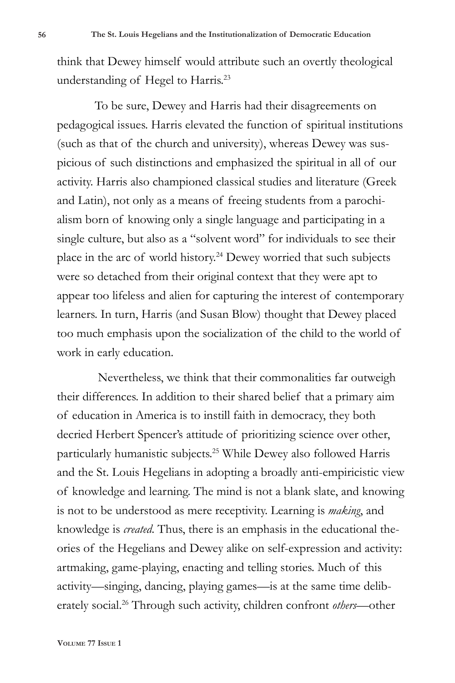think that Dewey himself would attribute such an overtly theological understanding of Hegel to Harris.<sup>23</sup>

To be sure, Dewey and Harris had their disagreements on pedagogical issues. Harris elevated the function of spiritual institutions (such as that of the church and university), whereas Dewey was suspicious of such distinctions and emphasized the spiritual in all of our activity. Harris also championed classical studies and literature (Greek and Latin), not only as a means of freeing students from a parochialism born of knowing only a single language and participating in a single culture, but also as a "solvent word" for individuals to see their place in the arc of world history.24 Dewey worried that such subjects were so detached from their original context that they were apt to appear too lifeless and alien for capturing the interest of contemporary learners. In turn, Harris (and Susan Blow) thought that Dewey placed too much emphasis upon the socialization of the child to the world of work in early education.

 Nevertheless, we think that their commonalities far outweigh their differences. In addition to their shared belief that a primary aim of education in America is to instill faith in democracy, they both decried Herbert Spencer's attitude of prioritizing science over other, particularly humanistic subjects.25 While Dewey also followed Harris and the St. Louis Hegelians in adopting a broadly anti-empiricistic view of knowledge and learning. The mind is not a blank slate, and knowing is not to be understood as mere receptivity. Learning is *making*, and knowledge is *created*. Thus, there is an emphasis in the educational theories of the Hegelians and Dewey alike on self-expression and activity: artmaking, game-playing, enacting and telling stories. Much of this activity—singing, dancing, playing games—is at the same time deliberately social.26 Through such activity, children confront *others*—other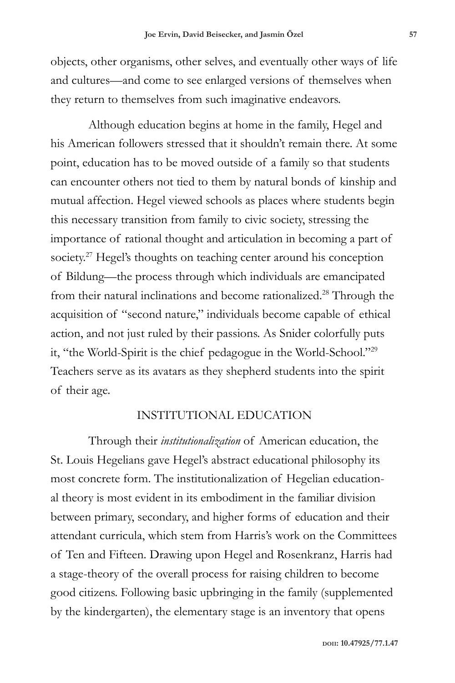objects, other organisms, other selves, and eventually other ways of life and cultures—and come to see enlarged versions of themselves when they return to themselves from such imaginative endeavors.

Although education begins at home in the family, Hegel and his American followers stressed that it shouldn't remain there. At some point, education has to be moved outside of a family so that students can encounter others not tied to them by natural bonds of kinship and mutual affection. Hegel viewed schools as places where students begin this necessary transition from family to civic society, stressing the importance of rational thought and articulation in becoming a part of society.<sup>27</sup> Hegel's thoughts on teaching center around his conception of Bildung—the process through which individuals are emancipated from their natural inclinations and become rationalized.28 Through the acquisition of "second nature," individuals become capable of ethical action, and not just ruled by their passions. As Snider colorfully puts it, "the World-Spirit is the chief pedagogue in the World-School."29 Teachers serve as its avatars as they shepherd students into the spirit of their age.

### INSTITUTIONAL EDUCATION

Through their *institutionalization* of American education, the St. Louis Hegelians gave Hegel's abstract educational philosophy its most concrete form. The institutionalization of Hegelian educational theory is most evident in its embodiment in the familiar division between primary, secondary, and higher forms of education and their attendant curricula, which stem from Harris's work on the Committees of Ten and Fifteen. Drawing upon Hegel and Rosenkranz, Harris had a stage-theory of the overall process for raising children to become good citizens. Following basic upbringing in the family (supplemented by the kindergarten), the elementary stage is an inventory that opens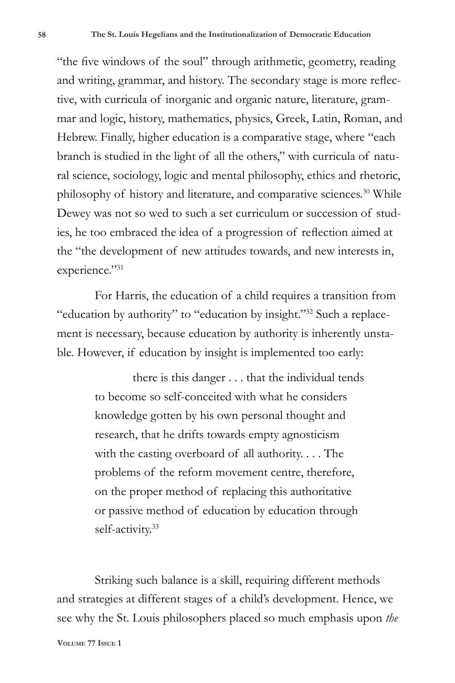"the five windows of the soul" through arithmetic, geometry, reading and writing, grammar, and history. The secondary stage is more reflective, with curricula of inorganic and organic nature, literature, grammar and logic, history, mathematics, physics, Greek, Latin, Roman, and Hebrew. Finally, higher education is a comparative stage, where "each branch is studied in the light of all the others," with curricula of natural science, sociology, logic and mental philosophy, ethics and rhetoric, philosophy of history and literature, and comparative sciences.<sup>30</sup> While Dewey was not so wed to such a set curriculum or succession of studies, he too embraced the idea of a progression of reflection aimed at the "the development of new attitudes towards, and new interests in, experience."31

For Harris, the education of a child requires a transition from "education by authority" to "education by insight."32 Such a replacement is necessary, because education by authority is inherently unstable. However, if education by insight is implemented too early:

> there is this danger . . . that the individual tends to become so self-conceited with what he considers knowledge gotten by his own personal thought and research, that he drifts towards empty agnosticism with the casting overboard of all authority. . . . The problems of the reform movement centre, therefore, on the proper method of replacing this authoritative or passive method of education by education through self-activity.<sup>33</sup>

Striking such balance is a skill, requiring different methods and strategies at different stages of a child's development. Hence, we see why the St. Louis philosophers placed so much emphasis upon *the*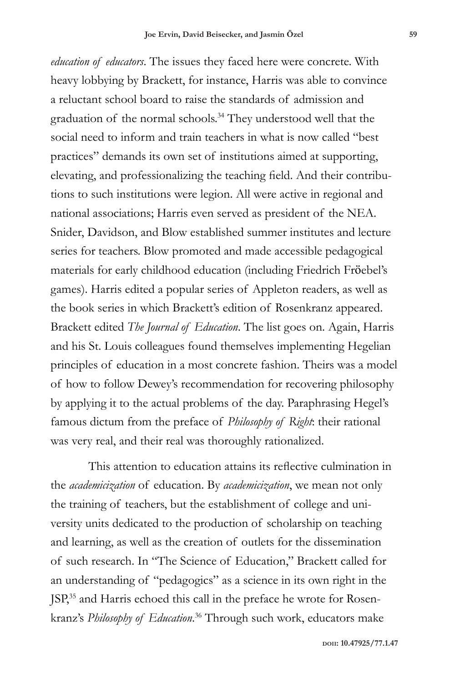*education of educators*. The issues they faced here were concrete. With heavy lobbying by Brackett, for instance, Harris was able to convince a reluctant school board to raise the standards of admission and graduation of the normal schools.<sup>34</sup> They understood well that the social need to inform and train teachers in what is now called "best practices" demands its own set of institutions aimed at supporting, elevating, and professionalizing the teaching field. And their contributions to such institutions were legion. All were active in regional and national associations; Harris even served as president of the NEA. Snider, Davidson, and Blow established summer institutes and lecture series for teachers. Blow promoted and made accessible pedagogical materials for early childhood education (including Friedrich Fröebel's games). Harris edited a popular series of Appleton readers, as well as the book series in which Brackett's edition of Rosenkranz appeared. Brackett edited *The Journal of Education*. The list goes on. Again, Harris and his St. Louis colleagues found themselves implementing Hegelian principles of education in a most concrete fashion. Theirs was a model of how to follow Dewey's recommendation for recovering philosophy by applying it to the actual problems of the day. Paraphrasing Hegel's famous dictum from the preface of *Philosophy of Right*: their rational was very real, and their real was thoroughly rationalized.

This attention to education attains its reflective culmination in the *academicization* of education. By *academicization*, we mean not only the training of teachers, but the establishment of college and university units dedicated to the production of scholarship on teaching and learning, as well as the creation of outlets for the dissemination of such research. In "The Science of Education," Brackett called for an understanding of "pedagogics" as a science in its own right in the JSP,35 and Harris echoed this call in the preface he wrote for Rosenkranz's *Philosophy of Education*. <sup>36</sup> Through such work, educators make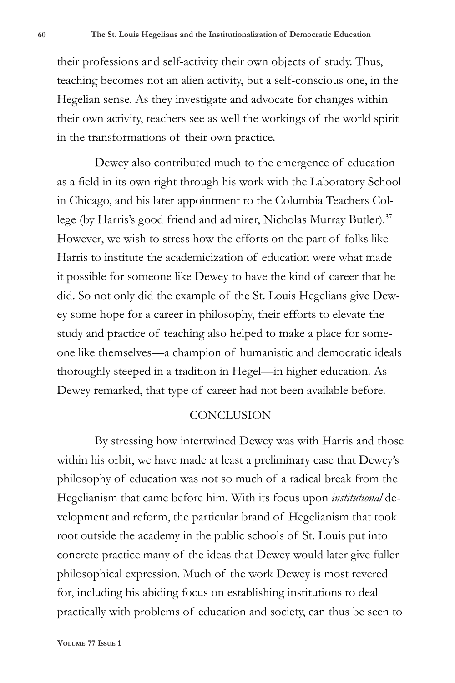their professions and self-activity their own objects of study. Thus, teaching becomes not an alien activity, but a self-conscious one, in the Hegelian sense. As they investigate and advocate for changes within their own activity, teachers see as well the workings of the world spirit in the transformations of their own practice.

Dewey also contributed much to the emergence of education as a field in its own right through his work with the Laboratory School in Chicago, and his later appointment to the Columbia Teachers College (by Harris's good friend and admirer, Nicholas Murray Butler).<sup>37</sup> However, we wish to stress how the efforts on the part of folks like Harris to institute the academicization of education were what made it possible for someone like Dewey to have the kind of career that he did. So not only did the example of the St. Louis Hegelians give Dewey some hope for a career in philosophy, their efforts to elevate the study and practice of teaching also helped to make a place for someone like themselves—a champion of humanistic and democratic ideals thoroughly steeped in a tradition in Hegel—in higher education. As Dewey remarked, that type of career had not been available before.

### **CONCLUSION**

By stressing how intertwined Dewey was with Harris and those within his orbit, we have made at least a preliminary case that Dewey's philosophy of education was not so much of a radical break from the Hegelianism that came before him. With its focus upon *institutional* development and reform, the particular brand of Hegelianism that took root outside the academy in the public schools of St. Louis put into concrete practice many of the ideas that Dewey would later give fuller philosophical expression. Much of the work Dewey is most revered for, including his abiding focus on establishing institutions to deal practically with problems of education and society, can thus be seen to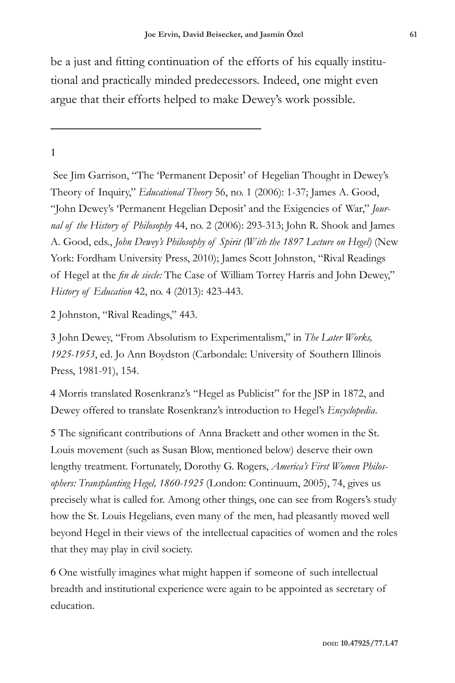be a just and fitting continuation of the efforts of his equally institutional and practically minded predecessors. Indeed, one might even argue that their efforts helped to make Dewey's work possible.

## 1

 See Jim Garrison, "The 'Permanent Deposit' of Hegelian Thought in Dewey's Theory of Inquiry," *Educational Theory* 56, no. 1 (2006): 1-37; James A. Good, "John Dewey's 'Permanent Hegelian Deposit' and the Exigencies of War," *Journal of the History of Philosophy* 44, no. 2 (2006): 293-313; John R. Shook and James A. Good, eds., *John Dewey's Philosophy of Spirit (With the 1897 Lecture on Hegel)* (New York: Fordham University Press, 2010); James Scott Johnston, "Rival Readings of Hegel at the *fin de siecle:* The Case of William Torrey Harris and John Dewey," *History of Education* 42, no. 4 (2013): 423-443.

2 Johnston, "Rival Readings," 443.

3 John Dewey, "From Absolutism to Experimentalism," in *The Later Works, 1925-1953*, ed. Jo Ann Boydston (Carbondale: University of Southern Illinois Press, 1981-91), 154.

4 Morris translated Rosenkranz's "Hegel as Publicist" for the JSP in 1872, and Dewey offered to translate Rosenkranz's introduction to Hegel's *Encyclopedia*.

5 The significant contributions of Anna Brackett and other women in the St. Louis movement (such as Susan Blow, mentioned below) deserve their own lengthy treatment. Fortunately, Dorothy G. Rogers, *America's First Women Philosophers: Transplanting Hegel, 1860-1925* (London: Continuum, 2005), 74, gives us precisely what is called for. Among other things, one can see from Rogers's study how the St. Louis Hegelians, even many of the men, had pleasantly moved well beyond Hegel in their views of the intellectual capacities of women and the roles that they may play in civil society.

6 One wistfully imagines what might happen if someone of such intellectual breadth and institutional experience were again to be appointed as secretary of education.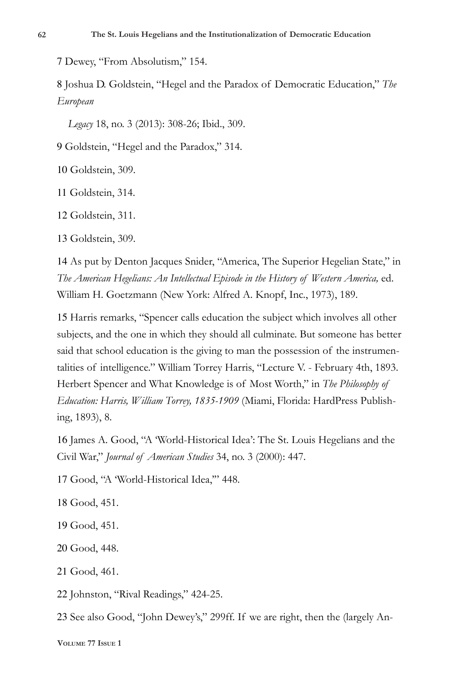7 Dewey, "From Absolutism," 154.

8 Joshua D. Goldstein, "Hegel and the Paradox of Democratic Education," *The European*

 *Legacy* 18, no. 3 (2013): 308-26; Ibid., 309.

9 Goldstein, "Hegel and the Paradox," 314.

10 Goldstein, 309.

11 Goldstein, 314.

12 Goldstein, 311.

13 Goldstein, 309.

14 As put by Denton Jacques Snider, "America, The Superior Hegelian State," in *The American Hegelians: An Intellectual Episode in the History of Western America,* ed. William H. Goetzmann (New York: Alfred A. Knopf, Inc., 1973), 189.

15 Harris remarks, "Spencer calls education the subject which involves all other subjects, and the one in which they should all culminate. But someone has better said that school education is the giving to man the possession of the instrumentalities of intelligence." William Torrey Harris, "Lecture V. - February 4th, 1893. Herbert Spencer and What Knowledge is of Most Worth," in *The Philosophy of Education: Harris, William Torrey, 1835-1909* (Miami, Florida: HardPress Publishing, 1893), 8.

16 James A. Good, "A 'World-Historical Idea': The St. Louis Hegelians and the Civil War," *Journal of American Studies* 34, no. 3 (2000): 447.

17 Good, "A 'World-Historical Idea,'" 448.

18 Good, 451.

19 Good, 451.

20 Good, 448.

21 Good, 461.

22 Johnston, "Rival Readings," 424-25.

23 See also Good, "John Dewey's," 299ff. If we are right, then the (largely An-

**Volume 77 Issue 1**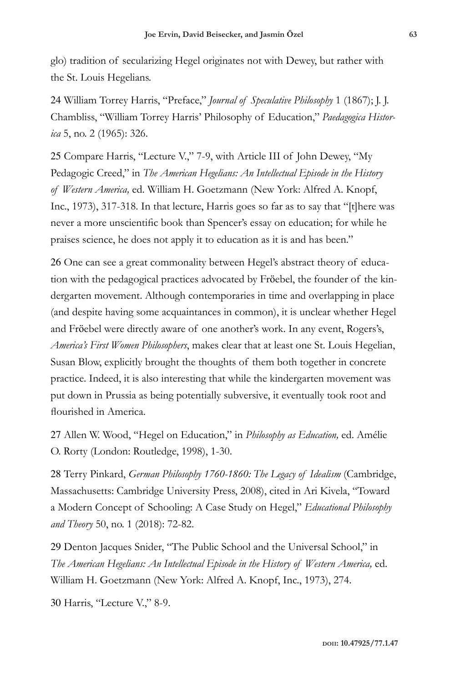glo) tradition of secularizing Hegel originates not with Dewey, but rather with the St. Louis Hegelians.

24 William Torrey Harris, "Preface," *Journal of Speculative Philosophy* 1 (1867); J. J. Chambliss, "William Torrey Harris' Philosophy of Education," *Paedagogica Historica* 5, no. 2 (1965): 326.

25 Compare Harris, "Lecture V.," 7-9, with Article III of John Dewey, "My Pedagogic Creed," in *The American Hegelians: An Intellectual Episode in the History of Western America,* ed. William H. Goetzmann (New York: Alfred A. Knopf, Inc., 1973), 317-318. In that lecture, Harris goes so far as to say that "[t]here was never a more unscientific book than Spencer's essay on education; for while he praises science, he does not apply it to education as it is and has been."

26 One can see a great commonality between Hegel's abstract theory of education with the pedagogical practices advocated by Fröebel, the founder of the kindergarten movement. Although contemporaries in time and overlapping in place (and despite having some acquaintances in common), it is unclear whether Hegel and Fröebel were directly aware of one another's work. In any event, Rogers's, *America's First Women Philosophers*, makes clear that at least one St. Louis Hegelian, Susan Blow, explicitly brought the thoughts of them both together in concrete practice. Indeed, it is also interesting that while the kindergarten movement was put down in Prussia as being potentially subversive, it eventually took root and flourished in America.

27 Allen W. Wood, "Hegel on Education," in *Philosophy as Education,* ed. Amélie O. Rorty (London: Routledge, 1998), 1-30.

28 Terry Pinkard, *German Philosophy 1760-1860: The Legacy of Idealism* (Cambridge, Massachusetts: Cambridge University Press, 2008), cited in Ari Kivela, "Toward a Modern Concept of Schooling: A Case Study on Hegel," *Educational Philosophy and Theory* 50, no. 1 (2018): 72-82.

29 Denton Jacques Snider, "The Public School and the Universal School," in *The American Hegelians: An Intellectual Episode in the History of Western America,* ed. William H. Goetzmann (New York: Alfred A. Knopf, Inc., 1973), 274.

30 Harris, "Lecture V.," 8-9.